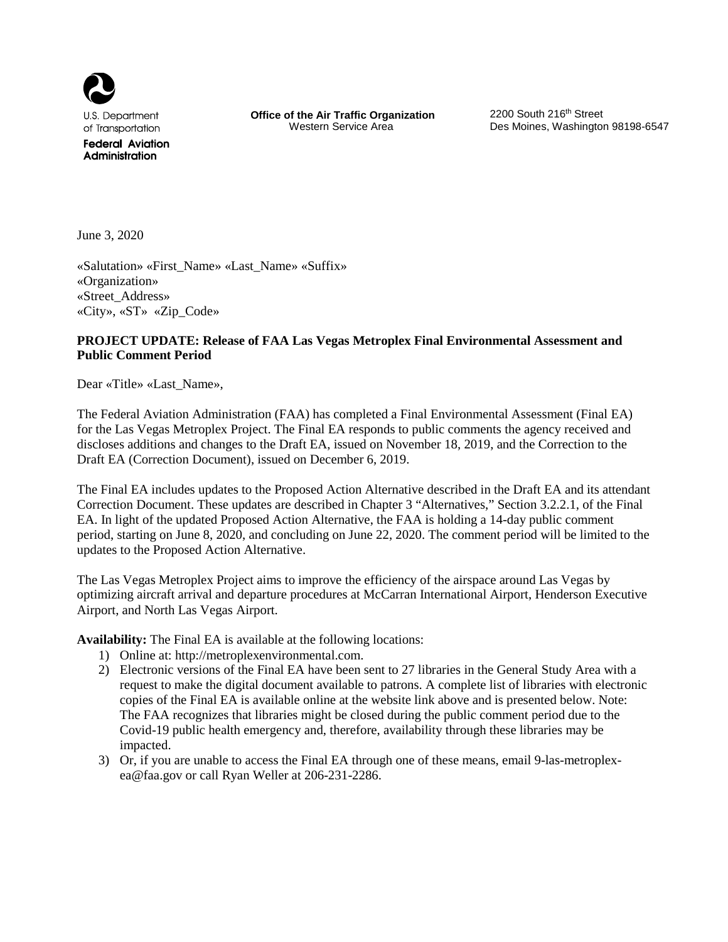

**Office of the Air Traffic Organization** 2200 South 216<sup>th</sup> Street<br>Western Service Area **Des Moines** Washingtor

Des Moines, Washington 98198-6547

June 3, 2020

«Salutation» «First\_Name» «Last\_Name» «Suffix» «Organization» «Street\_Address» «City», «ST» «Zip\_Code»

# **PROJECT UPDATE: Release of FAA Las Vegas Metroplex Final Environmental Assessment and Public Comment Period**

Dear «Title» «Last\_Name»,

The Federal Aviation Administration (FAA) has completed a Final Environmental Assessment (Final EA) for the Las Vegas Metroplex Project. The Final EA responds to public comments the agency received and discloses additions and changes to the Draft EA, issued on November 18, 2019, and the Correction to the Draft EA (Correction Document), issued on December 6, 2019.

The Final EA includes updates to the Proposed Action Alternative described in the Draft EA and its attendant Correction Document. These updates are described in Chapter 3 "Alternatives," Section 3.2.2.1, of the Final EA. In light of the updated Proposed Action Alternative, the FAA is holding a 14-day public comment period, starting on June 8, 2020, and concluding on June 22, 2020. The comment period will be limited to the updates to the Proposed Action Alternative.

The Las Vegas Metroplex Project aims to improve the efficiency of the airspace around Las Vegas by optimizing aircraft arrival and departure procedures at McCarran International Airport, Henderson Executive Airport, and North Las Vegas Airport.

**Availability:** The Final EA is available at the following locations:

- 1) Online at: http://metroplexenvironmental.com.
- 2) Electronic versions of the Final EA have been sent to 27 libraries in the General Study Area with a request to make the digital document available to patrons. A complete list of libraries with electronic copies of the Final EA is available online at the website link above and is presented below. Note: The FAA recognizes that libraries might be closed during the public comment period due to the Covid-19 public health emergency and, therefore, availability through these libraries may be impacted.
- 3) Or, if you are unable to access the Final EA through one of these means, email [9-las-metroplex](mailto:9-las-metroplex-ea@faa.gov)[ea@faa.gov](mailto:9-las-metroplex-ea@faa.gov) or call Ryan Weller at 206-231-2286.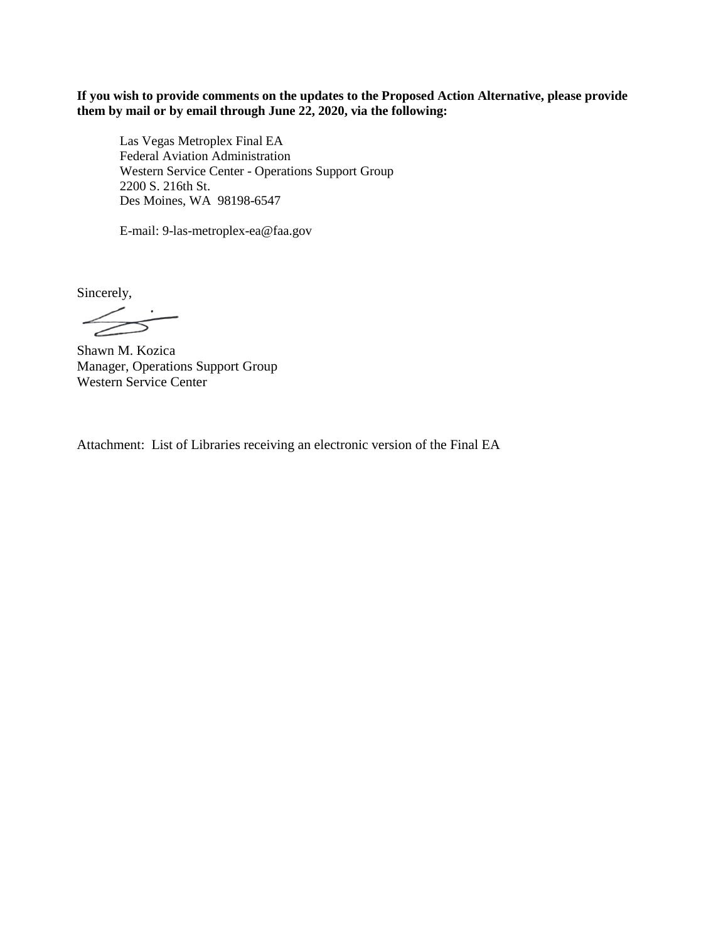**If you wish to provide comments on the updates to the Proposed Action Alternative, please provide them by mail or by email through June 22, 2020, via the following:**

Las Vegas Metroplex Final EA Federal Aviation Administration Western Service Center - Operations Support Group 2200 S. 216th St. Des Moines, WA 98198-6547

E-mail: 9-las-metroplex-ea@faa.gov

Sincerely,

 $\angle$  $\Rightarrow$ 

Shawn M. Kozica Manager, Operations Support Group Western Service Center

Attachment: List of Libraries receiving an electronic version of the Final EA